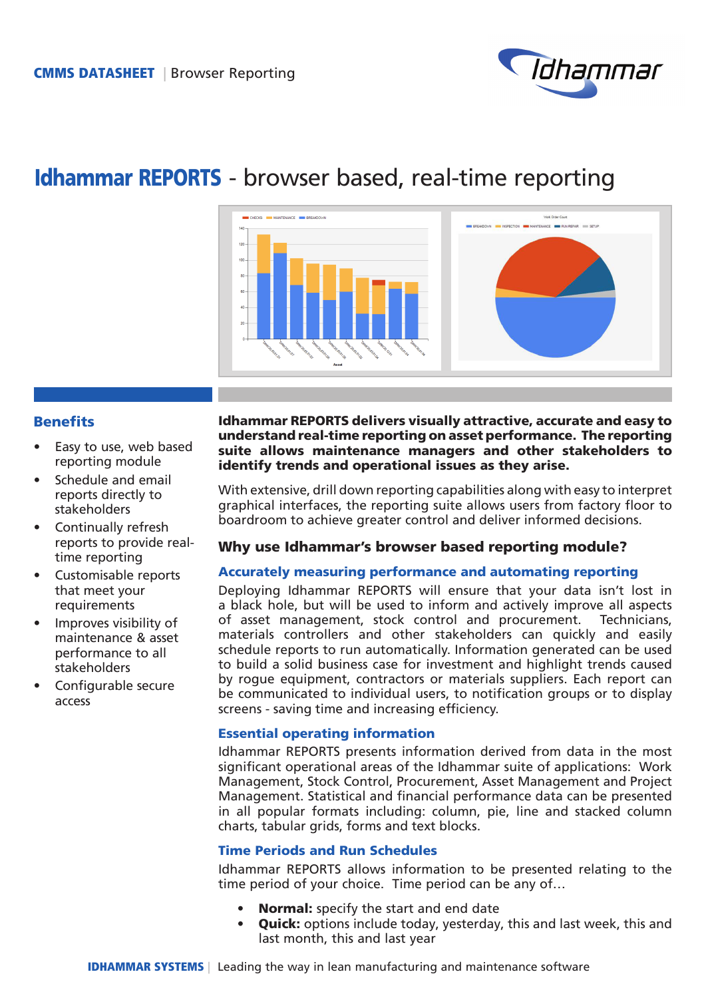

# Idhammar REPORTS - browser based, real-time reporting



# **Benefits**

- Easy to use, web based reporting module
- Schedule and email reports directly to stakeholders
- Continually refresh reports to provide realtime reporting
- Customisable reports that meet your requirements
- Improves visibility of maintenance & asset performance to all stakeholders
- Configurable secure access

#### Idhammar REPORTS delivers visually attractive, accurate and easy to understand real-time reporting on asset performance. The reporting suite allows maintenance managers and other stakeholders to identify trends and operational issues as they arise.

With extensive, drill down reporting capabilities along with easy to interpret graphical interfaces, the reporting suite allows users from factory floor to boardroom to achieve greater control and deliver informed decisions.

# Why use Idhammar's browser based reporting module?

## Accurately measuring performance and automating reporting

Deploying Idhammar REPORTS will ensure that your data isn't lost in a black hole, but will be used to inform and actively improve all aspects of asset management, stock control and procurement. Technicians, materials controllers and other stakeholders can quickly and easily schedule reports to run automatically. Information generated can be used to build a solid business case for investment and highlight trends caused by rogue equipment, contractors or materials suppliers. Each report can be communicated to individual users, to notification groups or to display screens - saving time and increasing efficiency.

## Essential operating information

Idhammar REPORTS presents information derived from data in the most significant operational areas of the Idhammar suite of applications: Work Management, Stock Control, Procurement, Asset Management and Project Management. Statistical and financial performance data can be presented in all popular formats including: column, pie, line and stacked column charts, tabular grids, forms and text blocks.

## Time Periods and Run Schedules

Idhammar REPORTS allows information to be presented relating to the time period of your choice. Time period can be any of…

- Normal: specify the start and end date
- **Quick:** options include today, yesterday, this and last week, this and last month, this and last year